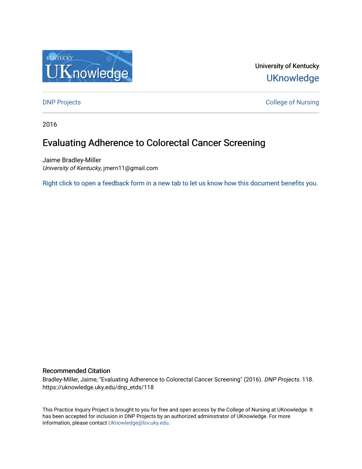

University of Kentucky **UKnowledge** 

**DNP Projects** College of Nursing

2016

# Evaluating Adherence to Colorectal Cancer Screening

Jaime Bradley-Miller University of Kentucky, jmern11@gmail.com

[Right click to open a feedback form in a new tab to let us know how this document benefits you.](https://uky.az1.qualtrics.com/jfe/form/SV_9mq8fx2GnONRfz7)

### Recommended Citation

Bradley-Miller, Jaime, "Evaluating Adherence to Colorectal Cancer Screening" (2016). DNP Projects. 118. https://uknowledge.uky.edu/dnp\_etds/118

This Practice Inquiry Project is brought to you for free and open access by the College of Nursing at UKnowledge. It has been accepted for inclusion in DNP Projects by an authorized administrator of UKnowledge. For more information, please contact [UKnowledge@lsv.uky.edu](mailto:UKnowledge@lsv.uky.edu).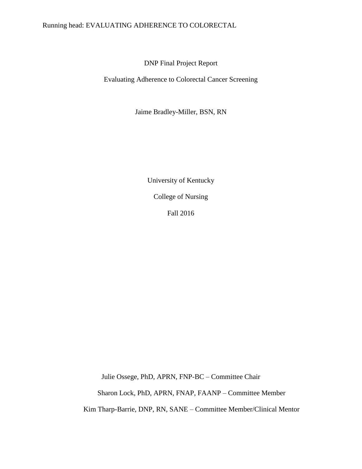## Running head: EVALUATING ADHERENCE TO COLORECTAL

DNP Final Project Report

Evaluating Adherence to Colorectal Cancer Screening

Jaime Bradley-Miller, BSN, RN

University of Kentucky College of Nursing Fall 2016

Julie Ossege, PhD, APRN, FNP-BC – Committee Chair

Sharon Lock, PhD, APRN, FNAP, FAANP – Committee Member

Kim Tharp-Barrie, DNP, RN, SANE – Committee Member/Clinical Mentor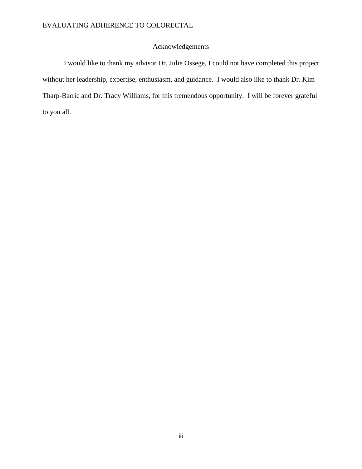## Acknowledgements

I would like to thank my advisor Dr. Julie Ossege, I could not have completed this project without her leadership, expertise, enthusiasm, and guidance. I would also like to thank Dr. Kim Tharp-Barrie and Dr. Tracy Williams, for this tremendous opportunity. I will be forever grateful to you all.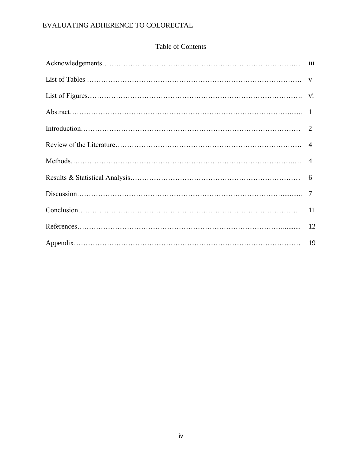## Table of Contents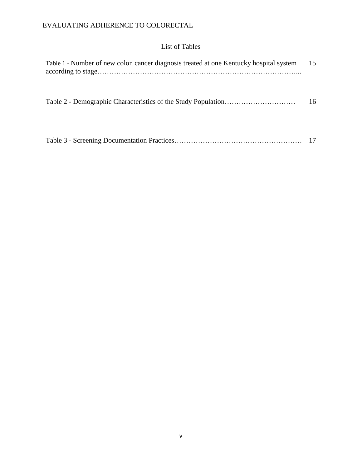## List of Tables

| Table 1 - Number of new colon cancer diagnosis treated at one Kentucky hospital system | 15 |
|----------------------------------------------------------------------------------------|----|
|                                                                                        | 16 |
|                                                                                        | 17 |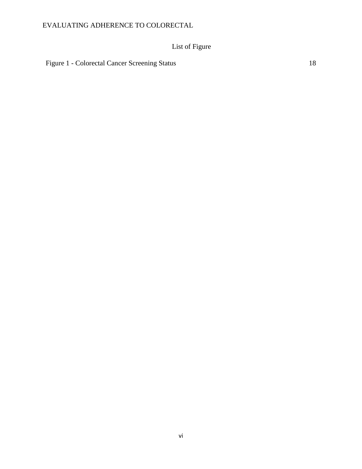# List of Figure

Figure 1 - Colorectal Cancer Screening Status 18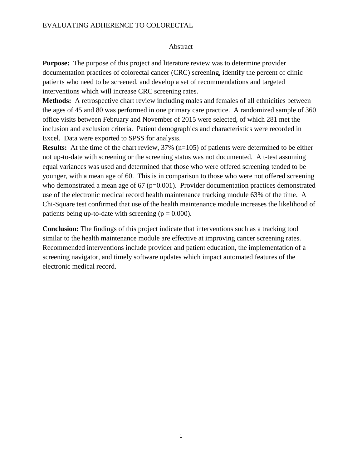#### Abstract

**Purpose:** The purpose of this project and literature review was to determine provider documentation practices of colorectal cancer (CRC) screening, identify the percent of clinic patients who need to be screened, and develop a set of recommendations and targeted interventions which will increase CRC screening rates.

**Methods:** A retrospective chart review including males and females of all ethnicities between the ages of 45 and 80 was performed in one primary care practice. A randomized sample of 360 office visits between February and November of 2015 were selected, of which 281 met the inclusion and exclusion criteria. Patient demographics and characteristics were recorded in Excel. Data were exported to SPSS for analysis.

**Results:** At the time of the chart review, 37% (n=105) of patients were determined to be either not up-to-date with screening or the screening status was not documented. A t-test assuming equal variances was used and determined that those who were offered screening tended to be younger, with a mean age of 60. This is in comparison to those who were not offered screening who demonstrated a mean age of  $67$  ( $p=0.001$ ). Provider documentation practices demonstrated use of the electronic medical record health maintenance tracking module 63% of the time. A Chi-Square test confirmed that use of the health maintenance module increases the likelihood of patients being up-to-date with screening  $(p = 0.000)$ .

**Conclusion:** The findings of this project indicate that interventions such as a tracking tool similar to the health maintenance module are effective at improving cancer screening rates. Recommended interventions include provider and patient education, the implementation of a screening navigator, and timely software updates which impact automated features of the electronic medical record.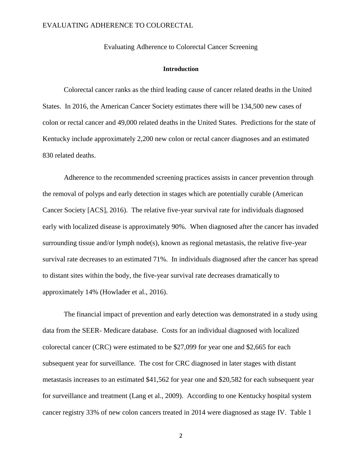Evaluating Adherence to Colorectal Cancer Screening

#### **Introduction**

Colorectal cancer ranks as the third leading cause of cancer related deaths in the United States. In 2016, the American Cancer Society estimates there will be 134,500 new cases of colon or rectal cancer and 49,000 related deaths in the United States. Predictions for the state of Kentucky include approximately 2,200 new colon or rectal cancer diagnoses and an estimated 830 related deaths.

Adherence to the recommended screening practices assists in cancer prevention through the removal of polyps and early detection in stages which are potentially curable (American Cancer Society [ACS], 2016). The relative five-year survival rate for individuals diagnosed early with localized disease is approximately 90%. When diagnosed after the cancer has invaded surrounding tissue and/or lymph node(s), known as regional metastasis, the relative five-year survival rate decreases to an estimated 71%. In individuals diagnosed after the cancer has spread to distant sites within the body, the five-year survival rate decreases dramatically to approximately 14% (Howlader et al., 2016).

The financial impact of prevention and early detection was demonstrated in a study using data from the SEER- Medicare database. Costs for an individual diagnosed with localized colorectal cancer (CRC) were estimated to be \$27,099 for year one and \$2,665 for each subsequent year for surveillance. The cost for CRC diagnosed in later stages with distant metastasis increases to an estimated \$41,562 for year one and \$20,582 for each subsequent year for surveillance and treatment (Lang et al., 2009). According to one Kentucky hospital system cancer registry 33% of new colon cancers treated in 2014 were diagnosed as stage IV. Table 1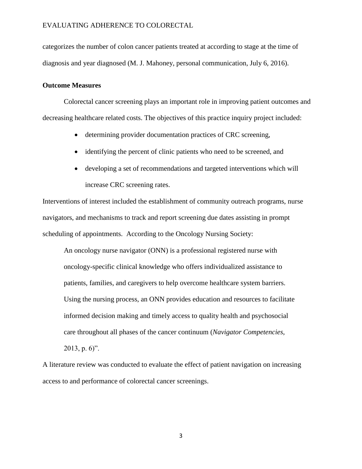categorizes the number of colon cancer patients treated at according to stage at the time of diagnosis and year diagnosed (M. J. Mahoney, personal communication, July 6, 2016).

#### **Outcome Measures**

Colorectal cancer screening plays an important role in improving patient outcomes and decreasing healthcare related costs. The objectives of this practice inquiry project included:

- determining provider documentation practices of CRC screening,
- identifying the percent of clinic patients who need to be screened, and
- developing a set of recommendations and targeted interventions which will increase CRC screening rates.

Interventions of interest included the establishment of community outreach programs, nurse navigators, and mechanisms to track and report screening due dates assisting in prompt scheduling of appointments. According to the Oncology Nursing Society:

An oncology nurse navigator (ONN) is a professional registered nurse with oncology-specific clinical knowledge who offers individualized assistance to patients, families, and caregivers to help overcome healthcare system barriers. Using the nursing process, an ONN provides education and resources to facilitate informed decision making and timely access to quality health and psychosocial care throughout all phases of the cancer continuum (*Navigator Competencies*, 2013, p. 6)".

A literature review was conducted to evaluate the effect of patient navigation on increasing access to and performance of colorectal cancer screenings.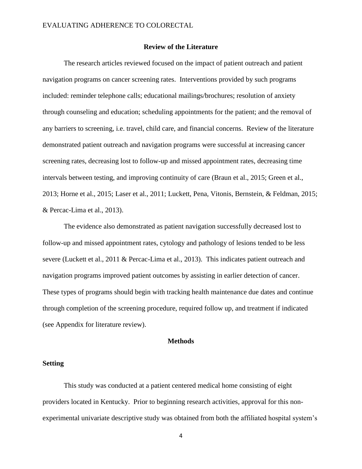#### **Review of the Literature**

The research articles reviewed focused on the impact of patient outreach and patient navigation programs on cancer screening rates. Interventions provided by such programs included: reminder telephone calls; educational mailings/brochures; resolution of anxiety through counseling and education; scheduling appointments for the patient; and the removal of any barriers to screening, i.e. travel, child care, and financial concerns. Review of the literature demonstrated patient outreach and navigation programs were successful at increasing cancer screening rates, decreasing lost to follow-up and missed appointment rates, decreasing time intervals between testing, and improving continuity of care (Braun et al., 2015; Green et al., 2013; Horne et al., 2015; Laser et al., 2011; Luckett, Pena, Vitonis, Bernstein, & Feldman, 2015; & Percac-Lima et al., 2013).

The evidence also demonstrated as patient navigation successfully decreased lost to follow-up and missed appointment rates, cytology and pathology of lesions tended to be less severe (Luckett et al., 2011 & Percac-Lima et al., 2013). This indicates patient outreach and navigation programs improved patient outcomes by assisting in earlier detection of cancer. These types of programs should begin with tracking health maintenance due dates and continue through completion of the screening procedure, required follow up, and treatment if indicated (see Appendix for literature review).

#### **Methods**

#### **Setting**

This study was conducted at a patient centered medical home consisting of eight providers located in Kentucky. Prior to beginning research activities, approval for this nonexperimental univariate descriptive study was obtained from both the affiliated hospital system's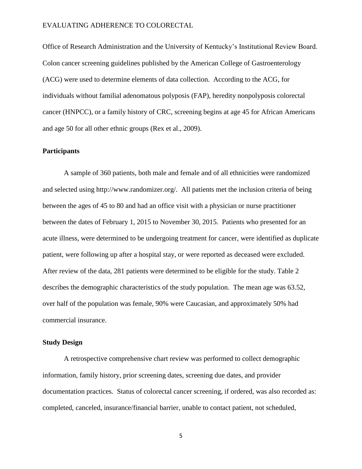Office of Research Administration and the University of Kentucky's Institutional Review Board. Colon cancer screening guidelines published by the American College of Gastroenterology (ACG) were used to determine elements of data collection. According to the ACG, for individuals without familial adenomatous polyposis (FAP), heredity nonpolyposis colorectal cancer (HNPCC), or a family history of CRC, screening begins at age 45 for African Americans and age 50 for all other ethnic groups (Rex et al., 2009).

### **Participants**

A sample of 360 patients, both male and female and of all ethnicities were randomized and selected using http://www.randomizer.org/. All patients met the inclusion criteria of being between the ages of 45 to 80 and had an office visit with a physician or nurse practitioner between the dates of February 1, 2015 to November 30, 2015. Patients who presented for an acute illness, were determined to be undergoing treatment for cancer, were identified as duplicate patient, were following up after a hospital stay, or were reported as deceased were excluded. After review of the data, 281 patients were determined to be eligible for the study. Table 2 describes the demographic characteristics of the study population. The mean age was 63.52, over half of the population was female, 90% were Caucasian, and approximately 50% had commercial insurance.

#### **Study Design**

A retrospective comprehensive chart review was performed to collect demographic information, family history, prior screening dates, screening due dates, and provider documentation practices. Status of colorectal cancer screening, if ordered, was also recorded as: completed, canceled, insurance/financial barrier, unable to contact patient, not scheduled,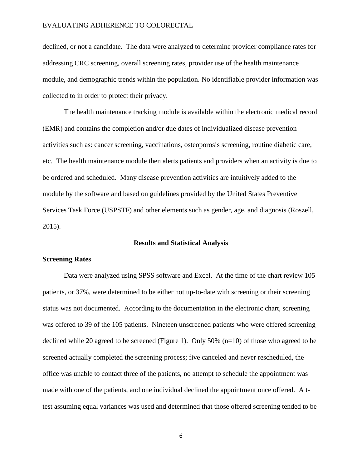declined, or not a candidate. The data were analyzed to determine provider compliance rates for addressing CRC screening, overall screening rates, provider use of the health maintenance module, and demographic trends within the population. No identifiable provider information was collected to in order to protect their privacy.

The health maintenance tracking module is available within the electronic medical record (EMR) and contains the completion and/or due dates of individualized disease prevention activities such as: cancer screening, vaccinations, osteoporosis screening, routine diabetic care, etc. The health maintenance module then alerts patients and providers when an activity is due to be ordered and scheduled. Many disease prevention activities are intuitively added to the module by the software and based on guidelines provided by the United States Preventive Services Task Force (USPSTF) and other elements such as gender, age, and diagnosis (Roszell, 2015).

#### **Results and Statistical Analysis**

#### **Screening Rates**

Data were analyzed using SPSS software and Excel. At the time of the chart review 105 patients, or 37%, were determined to be either not up-to-date with screening or their screening status was not documented. According to the documentation in the electronic chart, screening was offered to 39 of the 105 patients. Nineteen unscreened patients who were offered screening declined while 20 agreed to be screened (Figure 1). Only 50% (n=10) of those who agreed to be screened actually completed the screening process; five canceled and never rescheduled, the office was unable to contact three of the patients, no attempt to schedule the appointment was made with one of the patients, and one individual declined the appointment once offered. A ttest assuming equal variances was used and determined that those offered screening tended to be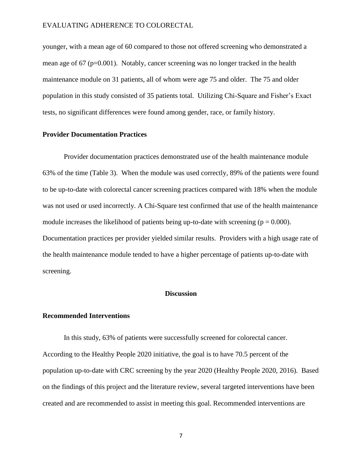younger, with a mean age of 60 compared to those not offered screening who demonstrated a mean age of  $67$  ( $p=0.001$ ). Notably, cancer screening was no longer tracked in the health maintenance module on 31 patients, all of whom were age 75 and older. The 75 and older population in this study consisted of 35 patients total. Utilizing Chi-Square and Fisher's Exact tests, no significant differences were found among gender, race, or family history.

### **Provider Documentation Practices**

Provider documentation practices demonstrated use of the health maintenance module 63% of the time (Table 3). When the module was used correctly, 89% of the patients were found to be up-to-date with colorectal cancer screening practices compared with 18% when the module was not used or used incorrectly. A Chi-Square test confirmed that use of the health maintenance module increases the likelihood of patients being up-to-date with screening  $(p = 0.000)$ . Documentation practices per provider yielded similar results. Providers with a high usage rate of the health maintenance module tended to have a higher percentage of patients up-to-date with screening.

### **Discussion**

#### **Recommended Interventions**

In this study, 63% of patients were successfully screened for colorectal cancer. According to the Healthy People 2020 initiative, the goal is to have 70.5 percent of the population up-to-date with CRC screening by the year 2020 (Healthy People 2020, 2016). Based on the findings of this project and the literature review, several targeted interventions have been created and are recommended to assist in meeting this goal. Recommended interventions are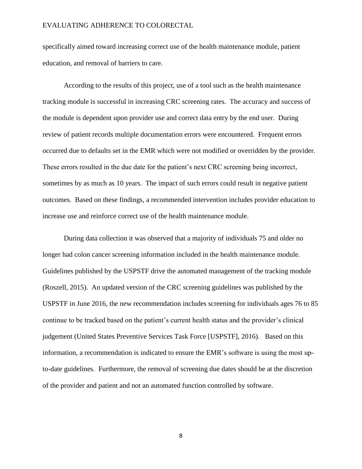specifically aimed toward increasing correct use of the health maintenance module, patient education, and removal of barriers to care.

According to the results of this project, use of a tool such as the health maintenance tracking module is successful in increasing CRC screening rates. The accuracy and success of the module is dependent upon provider use and correct data entry by the end user. During review of patient records multiple documentation errors were encountered. Frequent errors occurred due to defaults set in the EMR which were not modified or overridden by the provider. These errors resulted in the due date for the patient's next CRC screening being incorrect, sometimes by as much as 10 years. The impact of such errors could result in negative patient outcomes. Based on these findings, a recommended intervention includes provider education to increase use and reinforce correct use of the health maintenance module.

During data collection it was observed that a majority of individuals 75 and older no longer had colon cancer screening information included in the health maintenance module. Guidelines published by the USPSTF drive the automated management of the tracking module (Roszell, 2015). An updated version of the CRC screening guidelines was published by the USPSTF in June 2016, the new recommendation includes screening for individuals ages 76 to 85 continue to be tracked based on the patient's current health status and the provider's clinical judgement (United States Preventive Services Task Force [USPSTF], 2016). Based on this information, a recommendation is indicated to ensure the EMR's software is using the most upto-date guidelines. Furthermore, the removal of screening due dates should be at the discretion of the provider and patient and not an automated function controlled by software.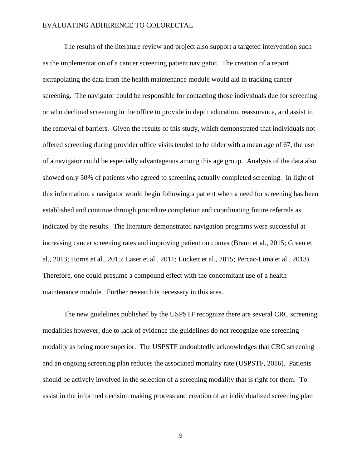The results of the literature review and project also support a targeted intervention such as the implementation of a cancer screening patient navigator. The creation of a report extrapolating the data from the health maintenance module would aid in tracking cancer screening. The navigator could be responsible for contacting those individuals due for screening or who declined screening in the office to provide in depth education, reassurance, and assist in the removal of barriers. Given the results of this study, which demonstrated that individuals not offered screening during provider office visits tended to be older with a mean age of 67, the use of a navigator could be especially advantageous among this age group. Analysis of the data also showed only 50% of patients who agreed to screening actually completed screening. In light of this information, a navigator would begin following a patient when a need for screening has been established and continue through procedure completion and coordinating future referrals as indicated by the results. The literature demonstrated navigation programs were successful at increasing cancer screening rates and improving patient outcomes (Braun et al., 2015; Green et al., 2013; Horne et al., 2015; Laser et al., 2011; Luckett et al., 2015; Percac-Lima et al., 2013). Therefore, one could presume a compound effect with the concomitant use of a health maintenance module. Further research is necessary in this area.

The new guidelines published by the USPSTF recognize there are several CRC screening modalities however, due to lack of evidence the guidelines do not recognize one screening modality as being more superior. The USPSTF undoubtedly acknowledges that CRC screening and an ongoing screening plan reduces the associated mortality rate (USPSTF, 2016). Patients should be actively involved in the selection of a screening modality that is right for them. To assist in the informed decision making process and creation of an individualized screening plan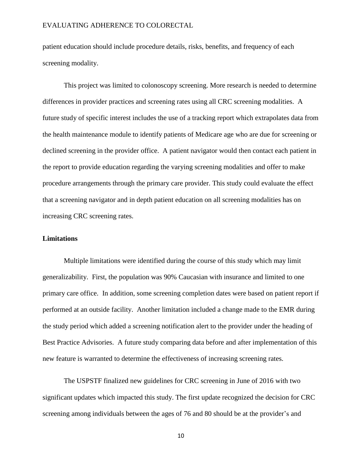patient education should include procedure details, risks, benefits, and frequency of each screening modality.

This project was limited to colonoscopy screening. More research is needed to determine differences in provider practices and screening rates using all CRC screening modalities. A future study of specific interest includes the use of a tracking report which extrapolates data from the health maintenance module to identify patients of Medicare age who are due for screening or declined screening in the provider office. A patient navigator would then contact each patient in the report to provide education regarding the varying screening modalities and offer to make procedure arrangements through the primary care provider. This study could evaluate the effect that a screening navigator and in depth patient education on all screening modalities has on increasing CRC screening rates.

### **Limitations**

Multiple limitations were identified during the course of this study which may limit generalizability. First, the population was 90% Caucasian with insurance and limited to one primary care office. In addition, some screening completion dates were based on patient report if performed at an outside facility. Another limitation included a change made to the EMR during the study period which added a screening notification alert to the provider under the heading of Best Practice Advisories. A future study comparing data before and after implementation of this new feature is warranted to determine the effectiveness of increasing screening rates.

The USPSTF finalized new guidelines for CRC screening in June of 2016 with two significant updates which impacted this study. The first update recognized the decision for CRC screening among individuals between the ages of 76 and 80 should be at the provider's and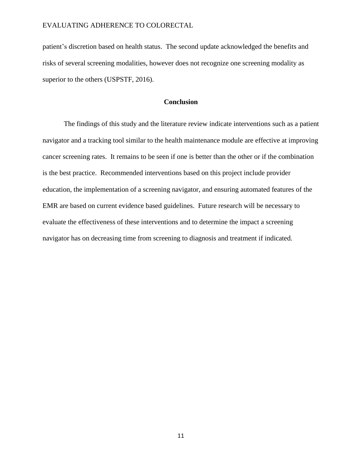patient's discretion based on health status. The second update acknowledged the benefits and risks of several screening modalities, however does not recognize one screening modality as superior to the others (USPSTF, 2016).

#### **Conclusion**

The findings of this study and the literature review indicate interventions such as a patient navigator and a tracking tool similar to the health maintenance module are effective at improving cancer screening rates. It remains to be seen if one is better than the other or if the combination is the best practice. Recommended interventions based on this project include provider education, the implementation of a screening navigator, and ensuring automated features of the EMR are based on current evidence based guidelines. Future research will be necessary to evaluate the effectiveness of these interventions and to determine the impact a screening navigator has on decreasing time from screening to diagnosis and treatment if indicated.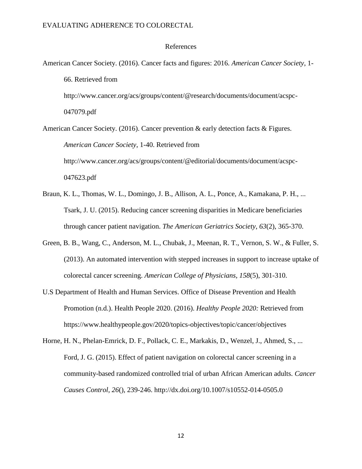#### References

American Cancer Society. (2016). Cancer facts and figures: 2016. *American Cancer Society*, 1- 66. Retrieved from http://www.cancer.org/acs/groups/content/@research/documents/document/acspc-047079.pdf American Cancer Society. (2016). Cancer prevention & early detection facts & Figures. *American Cancer Society*, 1-40. Retrieved from

http://www.cancer.org/acs/groups/content/@editorial/documents/document/acspc-047623.pdf

- Braun, K. L., Thomas, W. L., Domingo, J. B., Allison, A. L., Ponce, A., Kamakana, P. H., ... Tsark, J. U. (2015). Reducing cancer screening disparities in Medicare beneficiaries through cancer patient navigation. *The American Geriatrics Society*, *63*(2), 365-370.
- Green, B. B., Wang, C., Anderson, M. L., Chubak, J., Meenan, R. T., Vernon, S. W., & Fuller, S. (2013). An automated intervention with stepped increases in support to increase uptake of colorectal cancer screening. *American College of Physicians*, *158*(5), 301-310.
- U.S Department of Health and Human Services. Office of Disease Prevention and Health Promotion (n.d.). Health People 2020. (2016). *Healthy People 2020:* Retrieved from https://www.healthypeople.gov/2020/topics-objectives/topic/cancer/objectives
- Horne, H. N., Phelan-Emrick, D. F., Pollack, C. E., Markakis, D., Wenzel, J., Ahmed, S., ... Ford, J. G. (2015). Effect of patient navigation on colorectal cancer screening in a community-based randomized controlled trial of urban African American adults. *Cancer Causes Control*, *26*(), 239-246. http://dx.doi.org/10.1007/s10552-014-0505.0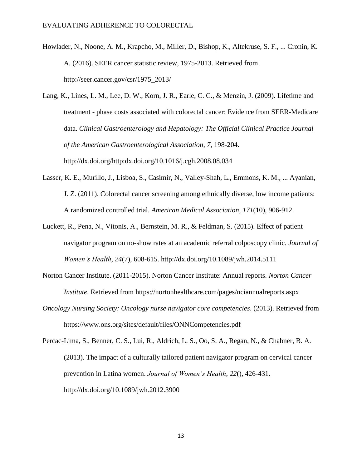- Howlader, N., Noone, A. M., Krapcho, M., Miller, D., Bishop, K., Altekruse, S. F., ... Cronin, K. A. (2016). SEER cancer statistic review, 1975-2013. Retrieved from http://seer.cancer.gov/csr/1975\_2013/
- Lang, K., Lines, L. M., Lee, D. W., Korn, J. R., Earle, C. C., & Menzin, J. (2009). Lifetime and treatment - phase costs associated with colorectal cancer: Evidence from SEER-Medicare data. *Clinical Gastroenterology and Hepatology: The Official Clinical Practice Journal of the American Gastroenterological Association*, *7*, 198-204. http://dx.doi.org/http:dx.doi.org/10.1016/j.cgh.2008.08.034
- Lasser, K. E., Murillo, J., Lisboa, S., Casimir, N., Valley-Shah, L., Emmons, K. M., ... Ayanian, J. Z. (2011). Colorectal cancer screening among ethnically diverse, low income patients: A randomized controlled trial. *American Medical Association*, *171*(10), 906-912.
- Luckett, R., Pena, N., Vitonis, A., Bernstein, M. R., & Feldman, S. (2015). Effect of patient navigator program on no-show rates at an academic referral colposcopy clinic. *Journal of Women's Health*, *24*(7), 608-615. http://dx.doi.org/10.1089/jwh.2014.5111
- Norton Cancer Institute. (2011-2015). Norton Cancer Institute: Annual reports. *Norton Cancer Institute*. Retrieved from https://nortonhealthcare.com/pages/nciannualreports.aspx
- *Oncology Nursing Society: Oncology nurse navigator core competencies*. (2013). Retrieved from https://www.ons.org/sites/default/files/ONNCompetencies.pdf

Percac-Lima, S., Benner, C. S., Lui, R., Aldrich, L. S., Oo, S. A., Regan, N., & Chabner, B. A. (2013). The impact of a culturally tailored patient navigator program on cervical cancer prevention in Latina women. *Journal of Women's Health*, *22*(), 426-431. http://dx.doi.org/10.1089/jwh.2012.3900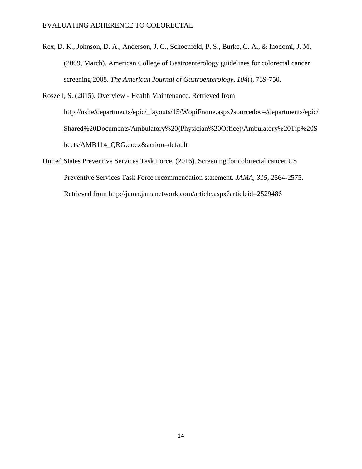Rex, D. K., Johnson, D. A., Anderson, J. C., Schoenfeld, P. S., Burke, C. A., & Inodomi, J. M. (2009, March). American College of Gastroenterology guidelines for colorectal cancer screening 2008. *The American Journal of Gastroenterology*, *104*(), 739-750.

Roszell, S. (2015). Overview - Health Maintenance. Retrieved from http://nsite/departments/epic/\_layouts/15/WopiFrame.aspx?sourcedoc=/departments/epic/ Shared%20Documents/Ambulatory%20(Physician%20Office)/Ambulatory%20Tip%20S heets/AMB114\_QRG.docx&action=default

United States Preventive Services Task Force. (2016). Screening for colorectal cancer US Preventive Services Task Force recommendation statement. *JAMA*, *315*, 2564-2575. Retrieved from http://jama.jamanetwork.com/article.aspx?articleid=2529486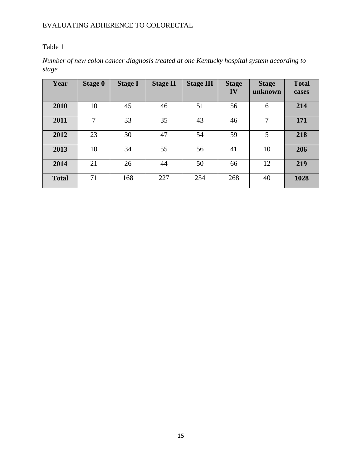## Table 1

*Number of new colon cancer diagnosis treated at one Kentucky hospital system according to stage*

| Year         | <b>Stage 0</b> | <b>Stage I</b> | <b>Stage II</b> | <b>Stage III</b> | <b>Stage</b><br>IV | <b>Stage</b><br>unknown | <b>Total</b><br>cases |
|--------------|----------------|----------------|-----------------|------------------|--------------------|-------------------------|-----------------------|
| 2010         | 10             | 45             | 46              | 51               | 56                 | 6                       | 214                   |
| 2011         | 7              | 33             | 35              | 43               | 46                 | 7                       | 171                   |
| 2012         | 23             | 30             | 47              | 54               | 59                 | 5                       | 218                   |
| 2013         | 10             | 34             | 55              | 56               | 41                 | 10                      | 206                   |
| 2014         | 21             | 26             | 44              | 50               | 66                 | 12                      | 219                   |
| <b>Total</b> | 71             | 168            | 227             | 254              | 268                | 40                      | 1028                  |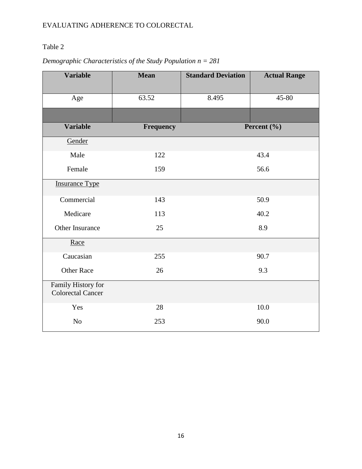## Table 2

# *Demographic Characteristics of the Study Population n = 281*

| <b>Variable</b>                                | <b>Mean</b>      | <b>Standard Deviation</b> | <b>Actual Range</b> |  |  |
|------------------------------------------------|------------------|---------------------------|---------------------|--|--|
|                                                |                  |                           |                     |  |  |
| Age                                            | 63.52            | 8.495                     | 45-80               |  |  |
|                                                |                  |                           |                     |  |  |
| <b>Variable</b>                                | <b>Frequency</b> |                           | Percent (%)         |  |  |
| Gender                                         |                  |                           |                     |  |  |
| Male                                           | 122              |                           | 43.4                |  |  |
| Female                                         | 159              | 56.6                      |                     |  |  |
| <b>Insurance Type</b>                          |                  |                           |                     |  |  |
| Commercial                                     | 143              |                           | 50.9                |  |  |
| Medicare                                       | 113              |                           | 40.2                |  |  |
| Other Insurance                                | 25               |                           | 8.9                 |  |  |
| Race                                           |                  |                           |                     |  |  |
| Caucasian                                      | 255              |                           | 90.7                |  |  |
| <b>Other Race</b>                              | 26               |                           | 9.3                 |  |  |
| Family History for<br><b>Colorectal Cancer</b> |                  |                           |                     |  |  |
| Yes                                            | 28               |                           | 10.0                |  |  |
| N <sub>o</sub>                                 | 253              |                           | 90.0                |  |  |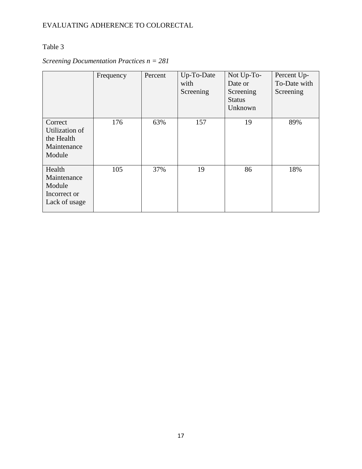## Table 3

# *Screening Documentation Practices n = 281*

|                                                                  | Frequency | Percent | Up-To-Date<br>with<br>Screening | Not Up-To-<br>Date or<br>Screening<br><b>Status</b><br>Unknown | Percent Up-<br>To-Date with<br>Screening |
|------------------------------------------------------------------|-----------|---------|---------------------------------|----------------------------------------------------------------|------------------------------------------|
| Correct<br>Utilization of<br>the Health<br>Maintenance<br>Module | 176       | 63%     | 157                             | 19                                                             | 89%                                      |
| Health<br>Maintenance<br>Module<br>Incorrect or<br>Lack of usage | 105       | 37%     | 19                              | 86                                                             | 18%                                      |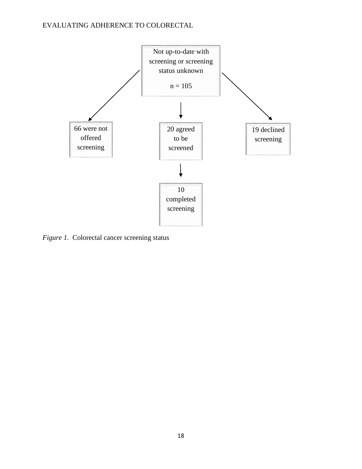

*Figure 1.* Colorectal cancer screening status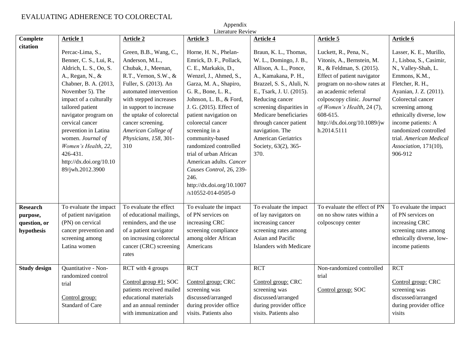| Appendix<br>Literature Review |                                                                                                                                                                                                                                                                                                                                                                |                                                                                                                                                                                                                                                                                                          |                                                                                                                                                                                                                                                                                                                                                                                                                                                                   |                                                                                                                                                                                                                                                                                                                                                |                                                                                                                                                                                                                                                                                                |                                                                                                                                                                                                                                                                                                                            |  |  |
|-------------------------------|----------------------------------------------------------------------------------------------------------------------------------------------------------------------------------------------------------------------------------------------------------------------------------------------------------------------------------------------------------------|----------------------------------------------------------------------------------------------------------------------------------------------------------------------------------------------------------------------------------------------------------------------------------------------------------|-------------------------------------------------------------------------------------------------------------------------------------------------------------------------------------------------------------------------------------------------------------------------------------------------------------------------------------------------------------------------------------------------------------------------------------------------------------------|------------------------------------------------------------------------------------------------------------------------------------------------------------------------------------------------------------------------------------------------------------------------------------------------------------------------------------------------|------------------------------------------------------------------------------------------------------------------------------------------------------------------------------------------------------------------------------------------------------------------------------------------------|----------------------------------------------------------------------------------------------------------------------------------------------------------------------------------------------------------------------------------------------------------------------------------------------------------------------------|--|--|
| <b>Complete</b><br>citation   | <b>Article 1</b>                                                                                                                                                                                                                                                                                                                                               | <b>Article 2</b>                                                                                                                                                                                                                                                                                         | <b>Article 3</b>                                                                                                                                                                                                                                                                                                                                                                                                                                                  | Article 4                                                                                                                                                                                                                                                                                                                                      | <b>Article 5</b>                                                                                                                                                                                                                                                                               | <b>Article 6</b>                                                                                                                                                                                                                                                                                                           |  |  |
|                               | Percac-Lima, S.,<br>Benner, C. S., Lui, R.,<br>Aldrich, L. S., Oo, S.<br>A., Regan, N., &<br>Chabner, B. A. (2013,<br>November 5). The<br>impact of a culturally<br>tailored patient<br>navigator program on<br>cervical cancer<br>prevention in Latina<br>women. Journal of<br>Women's Health, 22,<br>426-431.<br>http://dx.doi.org/10.10<br>89/jwh.2012.3900 | Green, B.B., Wang, C.,<br>Anderson, M.L.,<br>Chubak, J., Meenan,<br>R.T., Vernon, S.W., &<br>Fuller, S. (2013). An<br>automated intervention<br>with stepped increases<br>in support to increase<br>the uptake of colorectal<br>cancer screening.<br>American College of<br>Physicians, 158, 301-<br>310 | Horne, H. N., Phelan-<br>Emrick, D. F., Pollack,<br>C. E., Markakis, D.,<br>Wenzel, J., Ahmed, S.,<br>Garza, M. A., Shapiro,<br>G. R., Bone, L. R.,<br>Johnson, L. B., & Ford,<br>J. G. (2015). Effect of<br>patient navigation on<br>colorectal cancer<br>screening in a<br>community-based<br>randomized controlled<br>trial of urban African<br>American adults. Cancer<br>Causes Control, 26, 239-<br>246.<br>http://dx.doi.org/10.1007<br>/s10552-014-0505-0 | Braun, K. L., Thomas,<br>W. L., Domingo, J. B.,<br>Allison, A. L., Ponce,<br>A., Kamakana, P. H.,<br>Brazzel, S. S., Aluli, N.<br>E., Tsark, J. U. (2015).<br>Reducing cancer<br>screening disparities in<br>Medicare beneficiaries<br>through cancer patient<br>navigation. The<br><b>American Geriatrics</b><br>Society, 63(2), 365-<br>370. | Luckett, R., Pena, N.,<br>Vitonis, A., Bernstein, M.<br>R., & Feldman, S. (2015).<br>Effect of patient navigator<br>program on no-show rates at<br>an academic referral<br>colposcopy clinic. Journal<br>of Women's Health, 24 (7),<br>608-615.<br>http://dx.doi.org/10.1089/jw<br>h.2014.5111 | Lasser, K. E., Murillo,<br>J., Lisboa, S., Casimir,<br>N., Valley-Shah, L.<br>Emmons, K.M.,<br>Fletcher, R. H.,<br>Ayanian, J. Z. (2011).<br>Colorectal cancer<br>screening among<br>ethnically diverse, low<br>income patients: A<br>randomized controlled<br>trial. American Medical<br>Association, 171(10),<br>906-912 |  |  |
| <b>Research</b><br>purpose,   | To evaluate the impact<br>of patient navigation                                                                                                                                                                                                                                                                                                                | To evaluate the effect<br>of educational mailings,                                                                                                                                                                                                                                                       | To evaluate the impact<br>of PN services on                                                                                                                                                                                                                                                                                                                                                                                                                       | To evaluate the impact<br>of lay navigators on                                                                                                                                                                                                                                                                                                 | To evaluate the effect of PN<br>on no show rates within a                                                                                                                                                                                                                                      | To evaluate the impact<br>of PN services on                                                                                                                                                                                                                                                                                |  |  |
| question, or                  | (PN) on cervical                                                                                                                                                                                                                                                                                                                                               | reminders, and the use                                                                                                                                                                                                                                                                                   | increasing CRC                                                                                                                                                                                                                                                                                                                                                                                                                                                    | increasing cancer                                                                                                                                                                                                                                                                                                                              | colposcopy center                                                                                                                                                                                                                                                                              | increasing CRC                                                                                                                                                                                                                                                                                                             |  |  |
| hypothesis                    | cancer prevention and<br>screening among                                                                                                                                                                                                                                                                                                                       | of a patient navigator<br>on increasing colorectal                                                                                                                                                                                                                                                       | screening compliance<br>among older African                                                                                                                                                                                                                                                                                                                                                                                                                       | screening rates among<br>Asian and Pacific                                                                                                                                                                                                                                                                                                     |                                                                                                                                                                                                                                                                                                | screening rates among<br>ethnically diverse, low-                                                                                                                                                                                                                                                                          |  |  |
|                               | Latina women                                                                                                                                                                                                                                                                                                                                                   | cancer (CRC) screening<br>rates                                                                                                                                                                                                                                                                          | Americans                                                                                                                                                                                                                                                                                                                                                                                                                                                         | <b>Islanders with Medicare</b>                                                                                                                                                                                                                                                                                                                 |                                                                                                                                                                                                                                                                                                | income patients                                                                                                                                                                                                                                                                                                            |  |  |
| <b>Study design</b>           | Quantitative - Non-<br>randomized control<br>trial<br>Control group:<br><b>Standard of Care</b>                                                                                                                                                                                                                                                                | RCT with 4 groups<br>Control group $#1$ : SOC<br>patients received mailed<br>educational materials<br>and an annual reminder<br>with immunization and                                                                                                                                                    | <b>RCT</b><br>Control group: CRC<br>screening was<br>discussed/arranged<br>during provider office<br>visits. Patients also                                                                                                                                                                                                                                                                                                                                        | <b>RCT</b><br>Control group: CRC<br>screening was<br>discussed/arranged<br>during provider office<br>visits. Patients also                                                                                                                                                                                                                     | Non-randomized controlled<br>trial<br>Control group: SOC                                                                                                                                                                                                                                       | <b>RCT</b><br>Control group: CRC<br>screening was<br>discussed/arranged<br>during provider office<br>visits                                                                                                                                                                                                                |  |  |

 $\overline{1}$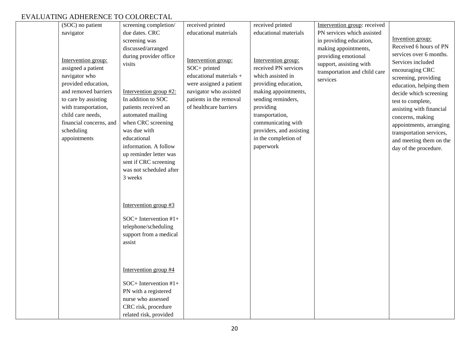| (SOC) no patient<br>navigator               | screening completion/<br>due dates. CRC          | received printed<br>educational materials         | received printed<br>educational materials    | Intervention group: received<br>PN services which assisted |                                             |
|---------------------------------------------|--------------------------------------------------|---------------------------------------------------|----------------------------------------------|------------------------------------------------------------|---------------------------------------------|
|                                             | screening was<br>discussed/arranged              |                                                   |                                              | in providing education,<br>making appointments,            | Invention group:<br>Received 6 hours of PN  |
| Intervention group:                         | during provider office                           | Intervention group:                               | Intervention group:                          | providing emotional                                        | services over 6 months.                     |
| assigned a patient                          | visits                                           | SOC+ printed                                      | received PN services                         | support, assisting with                                    | Services included<br>encouraging CRC        |
| navigator who                               |                                                  | educational materials +                           | which assisted in                            | transportation and child care<br>services                  | screening, providing                        |
| provided education,<br>and removed barriers | Intervention group $#2$ :                        | were assigned a patient<br>navigator who assisted | providing education,<br>making appointments, |                                                            | education, helping them                     |
| to care by assisting                        | In addition to SOC                               | patients in the removal                           | sending reminders,                           |                                                            | decide which screening<br>test to complete, |
| with transportation,<br>child care needs,   | patients received an                             | of healthcare barriers                            | providing                                    |                                                            | assisting with financial                    |
| financial concerns, and                     | automated mailing<br>when CRC screening          |                                                   | transportation,<br>communicating with        |                                                            | concerns, making<br>appointments, arranging |
| scheduling                                  | was due with                                     |                                                   | providers, and assisting                     |                                                            | transportation services,                    |
| appointments                                | educational<br>information. A follow             |                                                   | in the completion of<br>paperwork            |                                                            | and meeting them on the                     |
|                                             | up reminder letter was                           |                                                   |                                              |                                                            | day of the procedure.                       |
|                                             | sent if CRC screening<br>was not scheduled after |                                                   |                                              |                                                            |                                             |
|                                             | 3 weeks                                          |                                                   |                                              |                                                            |                                             |
|                                             |                                                  |                                                   |                                              |                                                            |                                             |
|                                             |                                                  |                                                   |                                              |                                                            |                                             |
|                                             | Intervention group $#3$                          |                                                   |                                              |                                                            |                                             |
|                                             | $SOC+$ Intervention $#1+$                        |                                                   |                                              |                                                            |                                             |
|                                             | telephone/scheduling<br>support from a medical   |                                                   |                                              |                                                            |                                             |
|                                             | assist                                           |                                                   |                                              |                                                            |                                             |
|                                             |                                                  |                                                   |                                              |                                                            |                                             |
|                                             | Intervention group #4                            |                                                   |                                              |                                                            |                                             |
|                                             |                                                  |                                                   |                                              |                                                            |                                             |
|                                             | SOC+ Intervention #1+<br>PN with a registered    |                                                   |                                              |                                                            |                                             |
|                                             | nurse who assessed                               |                                                   |                                              |                                                            |                                             |
|                                             | CRC risk, procedure                              |                                                   |                                              |                                                            |                                             |
|                                             | related risk, provided                           |                                                   |                                              |                                                            |                                             |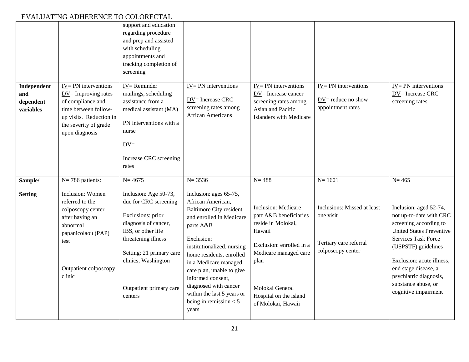| Independent<br>and<br>dependent<br>variables | $IV = PN$ interventions<br>$\underline{DV}$ Improving rates<br>of compliance and<br>time between follow-<br>up visits. Reduction in<br>the severity of grade<br>upon diagnosis | support and education<br>regarding procedure<br>and prep and assisted<br>with scheduling<br>appointments and<br>tracking completion of<br>screening<br>$IV =$ Reminder<br>mailings, scheduling<br>assistance from a<br>medical assistant (MA)<br>PN interventions with a<br>nurse<br>$DV =$<br>Increase CRC screening<br>rates | $IV = PN$ interventions<br>DV= Increase CRC<br>screening rates among<br>African Americans                                                                                                                                                                                                                              | $IV = PN$ interventions<br>DV= Increase cancer<br>screening rates among<br>Asian and Pacific<br>Islanders with Medicare                                                                                              | $IV = PN$ interventions<br>$DV =$ reduce no show<br>appointment rates                   | $IV = PN$ interventions<br>DV= Increase CRC<br>screening rates                                                                                                                                                                                                                                    |
|----------------------------------------------|--------------------------------------------------------------------------------------------------------------------------------------------------------------------------------|--------------------------------------------------------------------------------------------------------------------------------------------------------------------------------------------------------------------------------------------------------------------------------------------------------------------------------|------------------------------------------------------------------------------------------------------------------------------------------------------------------------------------------------------------------------------------------------------------------------------------------------------------------------|----------------------------------------------------------------------------------------------------------------------------------------------------------------------------------------------------------------------|-----------------------------------------------------------------------------------------|---------------------------------------------------------------------------------------------------------------------------------------------------------------------------------------------------------------------------------------------------------------------------------------------------|
| Sample/<br><b>Setting</b>                    | N= 786 patients:<br>Inclusion: Women<br>referred to the                                                                                                                        | $N = 4675$<br>Inclusion: Age 50-73,<br>due for CRC screening                                                                                                                                                                                                                                                                   | $N = 3536$<br>Inclusion: ages 65-75,<br>African American,                                                                                                                                                                                                                                                              | $N = 488$                                                                                                                                                                                                            | $N = 1601$                                                                              | $N = 465$                                                                                                                                                                                                                                                                                         |
|                                              | colposcopy center<br>after having an<br>abnormal<br>papanicolaou (PAP)<br>test<br>Outpatient colposcopy<br>clinic                                                              | Exclusions: prior<br>diagnosis of cancer,<br>IBS, or other life<br>threatening illness<br>Setting: 21 primary care<br>clinics, Washington<br>Outpatient primary care<br>centers                                                                                                                                                | <b>Baltimore City resident</b><br>and enrolled in Medicare<br>parts A&B<br>Exclusion:<br>institutionalized, nursing<br>home residents, enrolled<br>in a Medicare managed<br>care plan, unable to give<br>informed consent,<br>diagnosed with cancer<br>within the last 5 years or<br>being in remission $< 5$<br>years | <b>Inclusion:</b> Medicare<br>part A&B beneficiaries<br>reside in Molokai,<br>Hawaii<br>Exclusion: enrolled in a<br>Medicare managed care<br>plan<br>Molokai General<br>Hospital on the island<br>of Molokai, Hawaii | Inclusions: Missed at least<br>one visit<br>Tertiary care referral<br>colposcopy center | Inclusion: aged 52-74,<br>not up-to-date with CRC<br>screening according to<br><b>United States Preventive</b><br><b>Services Task Force</b><br>(USPSTF) guidelines<br>Exclusion: acute illness,<br>end stage disease, a<br>psychiatric diagnosis,<br>substance abuse, or<br>cognitive impairment |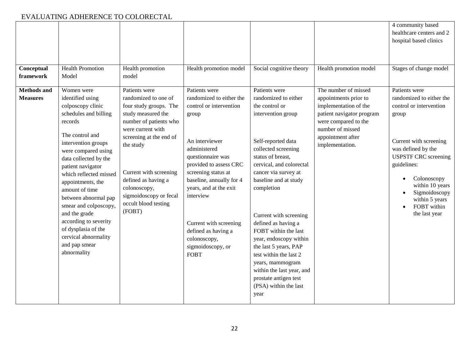| Conceptual<br>framework               | <b>Health Promotion</b><br>Model                                                                                                                                                                                                                                                                                                                                                                                                                  | Health promotion<br>model                                                                                                                                                                                                                                                                                 | Health promotion model                                                                                                                                                                                                                                                                                                                                        | Social cognitive theory                                                                                                                                                                                                                                                                                                                                                                                                                                                                                     | Health promotion model                                                                                                                                                                  | 4 community based<br>healthcare centers and 2<br>hospital based clinics<br>Stages of change model                                                                                                                                                                                |
|---------------------------------------|---------------------------------------------------------------------------------------------------------------------------------------------------------------------------------------------------------------------------------------------------------------------------------------------------------------------------------------------------------------------------------------------------------------------------------------------------|-----------------------------------------------------------------------------------------------------------------------------------------------------------------------------------------------------------------------------------------------------------------------------------------------------------|---------------------------------------------------------------------------------------------------------------------------------------------------------------------------------------------------------------------------------------------------------------------------------------------------------------------------------------------------------------|-------------------------------------------------------------------------------------------------------------------------------------------------------------------------------------------------------------------------------------------------------------------------------------------------------------------------------------------------------------------------------------------------------------------------------------------------------------------------------------------------------------|-----------------------------------------------------------------------------------------------------------------------------------------------------------------------------------------|----------------------------------------------------------------------------------------------------------------------------------------------------------------------------------------------------------------------------------------------------------------------------------|
| <b>Methods and</b><br><b>Measures</b> | Women were<br>identified using<br>colposcopy clinic<br>schedules and billing<br>records<br>The control and<br>intervention groups<br>were compared using<br>data collected by the<br>patient navigator<br>which reflected missed<br>appointments, the<br>amount of time<br>between abnormal pap<br>smear and colposcopy,<br>and the grade<br>according to severity<br>of dysplasia of the<br>cervical abnormality<br>and pap smear<br>abnormality | Patients were<br>randomized to one of<br>four study groups. The<br>study measured the<br>number of patients who<br>were current with<br>screening at the end of<br>the study<br>Current with screening<br>defined as having a<br>colonoscopy,<br>sigmoidoscopy or fecal<br>occult blood testing<br>(FOBT) | Patients were<br>randomized to either the<br>control or intervention<br>group<br>An interviewer<br>administered<br>questionnaire was<br>provided to assess CRC<br>screening status at<br>baseline, annually for 4<br>years, and at the exit<br>interview<br>Current with screening<br>defined as having a<br>colonoscopy,<br>sigmoidoscopy, or<br><b>FOBT</b> | Patients were<br>randomized to either<br>the control or<br>intervention group<br>Self-reported data<br>collected screening<br>status of breast,<br>cervical, and colorectal<br>cancer via survey at<br>baseline and at study<br>completion<br>Current with screening<br>defined as having a<br>FOBT within the last<br>year, endoscopy within<br>the last 5 years, PAP<br>test within the last 2<br>years, mammogram<br>within the last year, and<br>prostate antigen test<br>(PSA) within the last<br>year | The number of missed<br>appointments prior to<br>implementation of the<br>patient navigator program<br>were compared to the<br>number of missed<br>appointment after<br>implementation. | Patients were<br>randomized to either the<br>control or intervention<br>group<br>Current with screening<br>was defined by the<br><b>USPSTF CRC</b> screening<br>guidelines:<br>Colonoscopy<br>within 10 years<br>Sigmoidoscopy<br>within 5 years<br>FOBT within<br>the last year |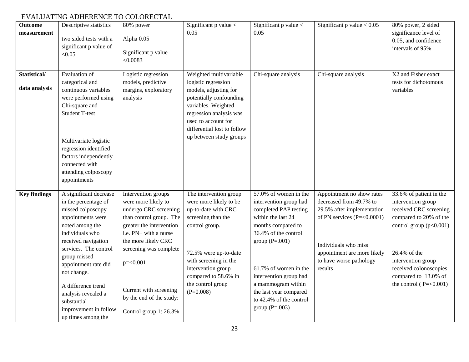| <b>Outcome</b><br>measurement | Descriptive statistics<br>two sided tests with a<br>significant p value of<br>< 0.05                                                                                                                                                                                                                                                             | 80% power<br>Alpha 0.05<br>Significant p value<br>< 0.0083                                                                                                                                                                                                                                          | Significant $p$ value $\lt$<br>0.05                                                                                                                                                                                                                 | Significant $p$ value $\lt$<br>0.05                                                                                                                                                                                                                                                                                | Significant $p$ value $< 0.05$                                                                                                                                                                                  | 80% power, 2 sided<br>significance level of<br>0.05, and confidence<br>intervals of 95%                                                                                                                                                            |
|-------------------------------|--------------------------------------------------------------------------------------------------------------------------------------------------------------------------------------------------------------------------------------------------------------------------------------------------------------------------------------------------|-----------------------------------------------------------------------------------------------------------------------------------------------------------------------------------------------------------------------------------------------------------------------------------------------------|-----------------------------------------------------------------------------------------------------------------------------------------------------------------------------------------------------------------------------------------------------|--------------------------------------------------------------------------------------------------------------------------------------------------------------------------------------------------------------------------------------------------------------------------------------------------------------------|-----------------------------------------------------------------------------------------------------------------------------------------------------------------------------------------------------------------|----------------------------------------------------------------------------------------------------------------------------------------------------------------------------------------------------------------------------------------------------|
| Statistical/<br>data analysis | Evaluation of<br>categorical and<br>continuous variables<br>were performed using<br>Chi-square and<br><b>Student T-test</b><br>Multivariate logistic<br>regression identified<br>factors independently<br>connected with<br>attending colposcopy<br>appointments                                                                                 | Logistic regression<br>models, predictive<br>margins, exploratory<br>analysis                                                                                                                                                                                                                       | Weighted multivariable<br>logistic regression<br>models, adjusting for<br>potentially confounding<br>variables. Weighted<br>regression analysis was<br>used to account for<br>differential lost to follow<br>up between study groups                | Chi-square analysis                                                                                                                                                                                                                                                                                                | Chi-square analysis                                                                                                                                                                                             | X2 and Fisher exact<br>tests for dichotomous<br>variables                                                                                                                                                                                          |
| <b>Key findings</b>           | A significant decrease<br>in the percentage of<br>missed colposcopy<br>appointments were<br>noted among the<br>individuals who<br>received navigation<br>services. The control<br>group missed<br>appointment rate did<br>not change.<br>A difference trend<br>analysis revealed a<br>substantial<br>improvement in follow<br>up times among the | Intervention groups<br>were more likely to<br>undergo CRC screening<br>than control group. The<br>greater the intervention<br>i.e. PN+ with a nurse<br>the more likely CRC<br>screening was complete<br>$p = 0.001$<br>Current with screening<br>by the end of the study:<br>Control group 1: 26.3% | The intervention group<br>were more likely to be<br>up-to-date with CRC<br>screening than the<br>control group.<br>72.5% were up-to-date<br>with screening in the<br>intervention group<br>compared to 58.6% in<br>the control group<br>$(P=0.008)$ | 57.0% of women in the<br>intervention group had<br>completed PAP testing<br>within the last 24<br>months compared to<br>36.4% of the control<br>group $(P=.001)$<br>61.7% of women in the<br>intervention group had<br>a mammogram within<br>the last year compared<br>to 42.4% of the control<br>group $(P=.003)$ | Appointment no show rates<br>decreased from 49.7% to<br>29.5% after implementation<br>of PN services $(P=<0.0001)$<br>Individuals who miss<br>appointment are more likely<br>to have worse pathology<br>results | 33.6% of patient in the<br>intervention group<br>received CRC screening<br>compared to 20% of the<br>control group $(p<0.001)$<br>26.4% of the<br>intervention group<br>received colonoscopies<br>compared to 13.0% of<br>the control $(P=<0.001)$ |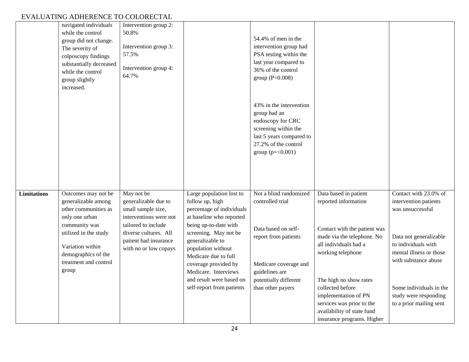|                    | navigated individuals<br>while the control<br>group did not change.<br>The severity of<br>colposcopy findings<br>substantially decreased<br>while the control<br>group slightly<br>increased.               | Intervention group 2:<br>50.8%<br>Intervention group 3:<br>57.5%<br>Intervention group 4:<br>64.7%                                                                                   |                                                                                                                                                                                                                                                                          | 54.4% of men in the<br>intervention group had<br>PSA testing within the<br>last year compared to<br>36% of the control<br>group ( $P=0.008$ )                       |                                                                                                                                                             |                                                                                                                                                                        |
|--------------------|-------------------------------------------------------------------------------------------------------------------------------------------------------------------------------------------------------------|--------------------------------------------------------------------------------------------------------------------------------------------------------------------------------------|--------------------------------------------------------------------------------------------------------------------------------------------------------------------------------------------------------------------------------------------------------------------------|---------------------------------------------------------------------------------------------------------------------------------------------------------------------|-------------------------------------------------------------------------------------------------------------------------------------------------------------|------------------------------------------------------------------------------------------------------------------------------------------------------------------------|
|                    |                                                                                                                                                                                                             |                                                                                                                                                                                      |                                                                                                                                                                                                                                                                          | 43% in the intervention<br>group had an<br>endoscopy for CRC<br>screening within the<br>last 5 years compared to<br>27.2% of the control<br>group ( $p = < 0.001$ ) |                                                                                                                                                             |                                                                                                                                                                        |
| <b>Limitations</b> | Outcomes may not be<br>generalizable among<br>other communities as<br>only one urban<br>community was<br>utilized in the study<br>Variation within<br>demographics of the<br>treatment and control<br>group | May not be<br>generalizable due to<br>small sample size,<br>interventions were not<br>tailored to include<br>diverse cultures. All<br>patient had insurance<br>with no or low copays | Large population lost to<br>follow up, high<br>percentage of individuals<br>at baseline who reported<br>being up-to-date with<br>screening. May not be<br>generalizable to<br>population without<br>Medicare due to full<br>coverage provided by<br>Medicare. Interviews | Not a blind randomized<br>controlled trial<br>Data based on self-<br>report from patients<br>Medicare coverage and<br>guidelines are                                | Data based in patient<br>reported information<br>Contact with the patient was<br>made via the telephone. No<br>all individuals had a<br>working telephone   | Contact with 23.0% of<br>intervention patients<br>was unsuccessful<br>Data not generalizable<br>to individuals with<br>mental illness or those<br>with substance abuse |
|                    |                                                                                                                                                                                                             |                                                                                                                                                                                      | and result were based on<br>self-report from patients                                                                                                                                                                                                                    | potentially different<br>than other payers                                                                                                                          | The high no show rates<br>collected before<br>implementation of PN<br>services was prior to the<br>availability of state fund<br>insurance programs. Higher | Some individuals in the<br>study were responding<br>to a prior mailing sent                                                                                            |